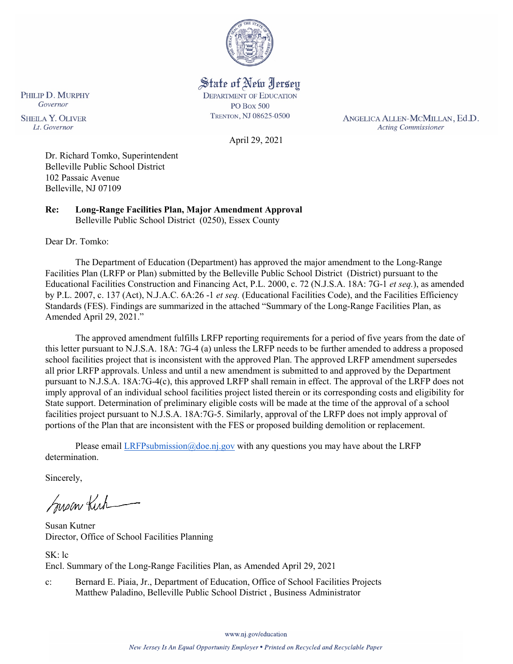

State of New Jersey **DEPARTMENT OF EDUCATION PO Box 500** TRENTON, NJ 08625-0500

ANGELICA ALLEN-MCMILLAN, Ed.D. **Acting Commissioner** 

April 29, 2021

Dr. Richard Tomko, Superintendent Belleville Public School District 102 Passaic Avenue Belleville, NJ 07109

**Re: Long-Range Facilities Plan, Major Amendment Approval**  Belleville Public School District (0250), Essex County

Dear Dr. Tomko:

PHILIP D. MURPHY Governor

**SHEILA Y. OLIVER** 

Lt. Governor

The Department of Education (Department) has approved the major amendment to the Long-Range Facilities Plan (LRFP or Plan) submitted by the Belleville Public School District (District) pursuant to the Educational Facilities Construction and Financing Act, P.L. 2000, c. 72 (N.J.S.A. 18A: 7G-1 *et seq.*), as amended by P.L. 2007, c. 137 (Act), N.J.A.C. 6A:26 -1 *et seq.* (Educational Facilities Code), and the Facilities Efficiency Standards (FES). Findings are summarized in the attached "Summary of the Long-Range Facilities Plan, as Amended April 29, 2021."

The approved amendment fulfills LRFP reporting requirements for a period of five years from the date of this letter pursuant to N.J.S.A. 18A: 7G-4 (a) unless the LRFP needs to be further amended to address a proposed school facilities project that is inconsistent with the approved Plan. The approved LRFP amendment supersedes all prior LRFP approvals. Unless and until a new amendment is submitted to and approved by the Department pursuant to N.J.S.A. 18A:7G-4(c), this approved LRFP shall remain in effect. The approval of the LRFP does not imply approval of an individual school facilities project listed therein or its corresponding costs and eligibility for State support. Determination of preliminary eligible costs will be made at the time of the approval of a school facilities project pursuant to N.J.S.A. 18A:7G-5. Similarly, approval of the LRFP does not imply approval of portions of the Plan that are inconsistent with the FES or proposed building demolition or replacement.

Please email [LRFPsubmission@doe.nj.gov](mailto:LRFPsubmission@doe.nj.gov) with any questions you may have about the LRFP determination.

Sincerely,

Susan Kich

Susan Kutner Director, Office of School Facilities Planning

SK: lc Encl. Summary of the Long-Range Facilities Plan, as Amended April 29, 2021

c: Bernard E. Piaia, Jr., Department of Education, Office of School Facilities Projects Matthew Paladino, Belleville Public School District , Business Administrator

www.nj.gov/education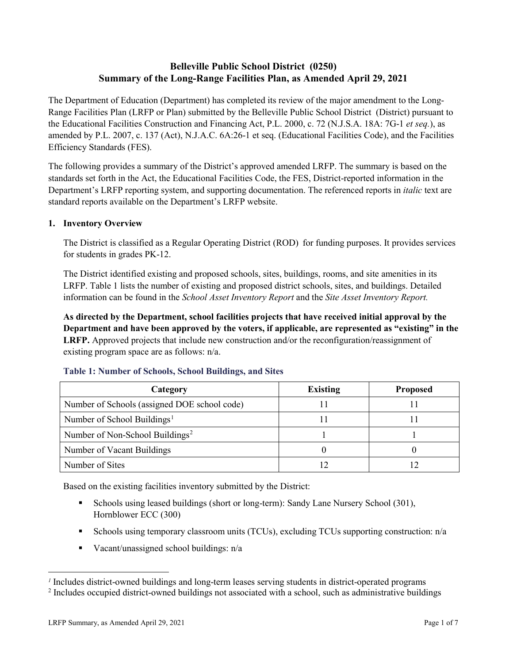# **Belleville Public School District (0250) Summary of the Long-Range Facilities Plan, as Amended April 29, 2021**

The Department of Education (Department) has completed its review of the major amendment to the Long-Range Facilities Plan (LRFP or Plan) submitted by the Belleville Public School District (District) pursuant to the Educational Facilities Construction and Financing Act, P.L. 2000, c. 72 (N.J.S.A. 18A: 7G-1 *et seq.*), as amended by P.L. 2007, c. 137 (Act), N.J.A.C. 6A:26-1 et seq. (Educational Facilities Code), and the Facilities Efficiency Standards (FES).

The following provides a summary of the District's approved amended LRFP. The summary is based on the standards set forth in the Act, the Educational Facilities Code, the FES, District-reported information in the Department's LRFP reporting system, and supporting documentation. The referenced reports in *italic* text are standard reports available on the Department's LRFP website.

## **1. Inventory Overview**

The District is classified as a Regular Operating District (ROD) for funding purposes. It provides services for students in grades PK-12.

The District identified existing and proposed schools, sites, buildings, rooms, and site amenities in its LRFP. Table 1 lists the number of existing and proposed district schools, sites, and buildings. Detailed information can be found in the *School Asset Inventory Report* and the *Site Asset Inventory Report.*

**As directed by the Department, school facilities projects that have received initial approval by the Department and have been approved by the voters, if applicable, are represented as "existing" in the LRFP.** Approved projects that include new construction and/or the reconfiguration/reassignment of existing program space are as follows: n/a.

| Category                                     | <b>Existing</b> | <b>Proposed</b> |
|----------------------------------------------|-----------------|-----------------|
| Number of Schools (assigned DOE school code) |                 |                 |
| Number of School Buildings <sup>1</sup>      |                 |                 |
| Number of Non-School Buildings <sup>2</sup>  |                 |                 |
| Number of Vacant Buildings                   |                 |                 |
| Number of Sites                              |                 |                 |

#### **Table 1: Number of Schools, School Buildings, and Sites**

Based on the existing facilities inventory submitted by the District:

- Schools using leased buildings (short or long-term): Sandy Lane Nursery School (301), Hornblower ECC (300)
- Schools using temporary classroom units (TCUs), excluding TCUs supporting construction:  $n/a$
- Vacant/unassigned school buildings: n/a

 $\overline{a}$ 

<span id="page-1-1"></span><span id="page-1-0"></span>*<sup>1</sup>* Includes district-owned buildings and long-term leases serving students in district-operated programs

<sup>&</sup>lt;sup>2</sup> Includes occupied district-owned buildings not associated with a school, such as administrative buildings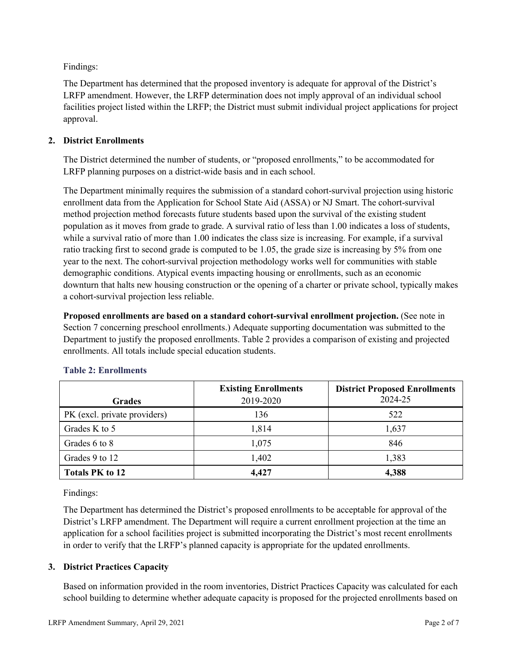Findings:

The Department has determined that the proposed inventory is adequate for approval of the District's LRFP amendment. However, the LRFP determination does not imply approval of an individual school facilities project listed within the LRFP; the District must submit individual project applications for project approval.

# **2. District Enrollments**

The District determined the number of students, or "proposed enrollments," to be accommodated for LRFP planning purposes on a district-wide basis and in each school.

The Department minimally requires the submission of a standard cohort-survival projection using historic enrollment data from the Application for School State Aid (ASSA) or NJ Smart. The cohort-survival method projection method forecasts future students based upon the survival of the existing student population as it moves from grade to grade. A survival ratio of less than 1.00 indicates a loss of students, while a survival ratio of more than 1.00 indicates the class size is increasing. For example, if a survival ratio tracking first to second grade is computed to be 1.05, the grade size is increasing by 5% from one year to the next. The cohort-survival projection methodology works well for communities with stable demographic conditions. Atypical events impacting housing or enrollments, such as an economic downturn that halts new housing construction or the opening of a charter or private school, typically makes a cohort-survival projection less reliable.

**Proposed enrollments are based on a standard cohort-survival enrollment projection.** (See note in Section 7 concerning preschool enrollments.) Adequate supporting documentation was submitted to the Department to justify the proposed enrollments. Table 2 provides a comparison of existing and projected enrollments. All totals include special education students.

|                              | <b>Existing Enrollments</b> | <b>District Proposed Enrollments</b> |
|------------------------------|-----------------------------|--------------------------------------|
| <b>Grades</b>                | 2019-2020                   | 2024-25                              |
| PK (excl. private providers) | 136                         | 522                                  |
| Grades K to 5                | 1,814                       | 1,637                                |
| Grades 6 to 8                | 1,075                       | 846                                  |
| Grades 9 to 12               | 1,402                       | 1,383                                |
| <b>Totals PK to 12</b>       | 4,427                       | 4,388                                |

## **Table 2: Enrollments**

Findings:

The Department has determined the District's proposed enrollments to be acceptable for approval of the District's LRFP amendment. The Department will require a current enrollment projection at the time an application for a school facilities project is submitted incorporating the District's most recent enrollments in order to verify that the LRFP's planned capacity is appropriate for the updated enrollments.

# **3. District Practices Capacity**

Based on information provided in the room inventories, District Practices Capacity was calculated for each school building to determine whether adequate capacity is proposed for the projected enrollments based on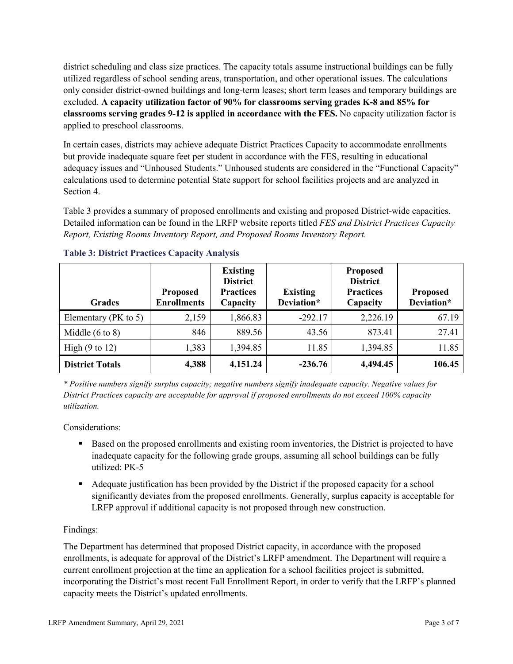district scheduling and class size practices. The capacity totals assume instructional buildings can be fully utilized regardless of school sending areas, transportation, and other operational issues. The calculations only consider district-owned buildings and long-term leases; short term leases and temporary buildings are excluded. **A capacity utilization factor of 90% for classrooms serving grades K-8 and 85% for classrooms serving grades 9-12 is applied in accordance with the FES.** No capacity utilization factor is applied to preschool classrooms.

In certain cases, districts may achieve adequate District Practices Capacity to accommodate enrollments but provide inadequate square feet per student in accordance with the FES, resulting in educational adequacy issues and "Unhoused Students." Unhoused students are considered in the "Functional Capacity" calculations used to determine potential State support for school facilities projects and are analyzed in Section 4.

Table 3 provides a summary of proposed enrollments and existing and proposed District-wide capacities. Detailed information can be found in the LRFP website reports titled *FES and District Practices Capacity Report, Existing Rooms Inventory Report, and Proposed Rooms Inventory Report.*

| <b>Grades</b>              | <b>Proposed</b><br><b>Enrollments</b> | <b>Existing</b><br><b>District</b><br><b>Practices</b><br>Capacity | <b>Existing</b><br>Deviation* | <b>Proposed</b><br><b>District</b><br><b>Practices</b><br>Capacity | <b>Proposed</b><br>Deviation* |
|----------------------------|---------------------------------------|--------------------------------------------------------------------|-------------------------------|--------------------------------------------------------------------|-------------------------------|
| Elementary ( $PK$ to 5)    | 2,159                                 | 1,866.83                                                           | $-292.17$                     | 2,226.19                                                           | 67.19                         |
| Middle $(6 \text{ to } 8)$ | 846                                   | 889.56                                                             | 43.56                         | 873.41                                                             | 27.41                         |
| High $(9 \text{ to } 12)$  | 1,383                                 | 1,394.85                                                           | 11.85                         | 1,394.85                                                           | 11.85                         |
| <b>District Totals</b>     | 4,388                                 | 4,151.24                                                           | $-236.76$                     | 4,494.45                                                           | 106.45                        |

## **Table 3: District Practices Capacity Analysis**

*\* Positive numbers signify surplus capacity; negative numbers signify inadequate capacity. Negative values for District Practices capacity are acceptable for approval if proposed enrollments do not exceed 100% capacity utilization.*

Considerations:

- Based on the proposed enrollments and existing room inventories, the District is projected to have inadequate capacity for the following grade groups, assuming all school buildings can be fully utilized: PK-5
- Adequate justification has been provided by the District if the proposed capacity for a school significantly deviates from the proposed enrollments. Generally, surplus capacity is acceptable for LRFP approval if additional capacity is not proposed through new construction.

## Findings:

The Department has determined that proposed District capacity, in accordance with the proposed enrollments, is adequate for approval of the District's LRFP amendment. The Department will require a current enrollment projection at the time an application for a school facilities project is submitted, incorporating the District's most recent Fall Enrollment Report, in order to verify that the LRFP's planned capacity meets the District's updated enrollments.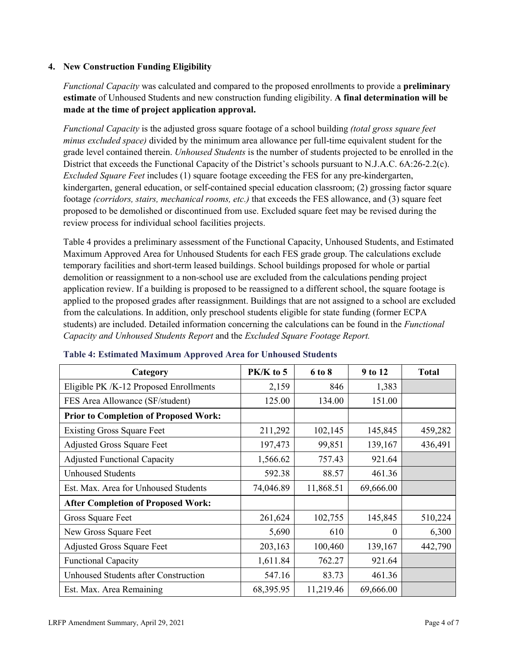## **4. New Construction Funding Eligibility**

*Functional Capacity* was calculated and compared to the proposed enrollments to provide a **preliminary estimate** of Unhoused Students and new construction funding eligibility. **A final determination will be made at the time of project application approval.**

*Functional Capacity* is the adjusted gross square footage of a school building *(total gross square feet minus excluded space)* divided by the minimum area allowance per full-time equivalent student for the grade level contained therein. *Unhoused Students* is the number of students projected to be enrolled in the District that exceeds the Functional Capacity of the District's schools pursuant to N.J.A.C. 6A:26-2.2(c). *Excluded Square Feet* includes (1) square footage exceeding the FES for any pre-kindergarten, kindergarten, general education, or self-contained special education classroom; (2) grossing factor square footage *(corridors, stairs, mechanical rooms, etc.)* that exceeds the FES allowance, and (3) square feet proposed to be demolished or discontinued from use. Excluded square feet may be revised during the review process for individual school facilities projects.

Table 4 provides a preliminary assessment of the Functional Capacity, Unhoused Students, and Estimated Maximum Approved Area for Unhoused Students for each FES grade group. The calculations exclude temporary facilities and short-term leased buildings. School buildings proposed for whole or partial demolition or reassignment to a non-school use are excluded from the calculations pending project application review. If a building is proposed to be reassigned to a different school, the square footage is applied to the proposed grades after reassignment. Buildings that are not assigned to a school are excluded from the calculations. In addition, only preschool students eligible for state funding (former ECPA students) are included. Detailed information concerning the calculations can be found in the *Functional Capacity and Unhoused Students Report* and the *Excluded Square Footage Report.*

| Category                                     | $PK/K$ to 5 | 6 to 8    | 9 to 12   | <b>Total</b> |
|----------------------------------------------|-------------|-----------|-----------|--------------|
| Eligible PK /K-12 Proposed Enrollments       | 2,159       | 846       | 1,383     |              |
| FES Area Allowance (SF/student)              | 125.00      | 134.00    | 151.00    |              |
| <b>Prior to Completion of Proposed Work:</b> |             |           |           |              |
| <b>Existing Gross Square Feet</b>            | 211,292     | 102,145   | 145,845   | 459,282      |
| <b>Adjusted Gross Square Feet</b>            | 197,473     | 99,851    | 139,167   | 436,491      |
| <b>Adjusted Functional Capacity</b>          | 1,566.62    | 757.43    | 921.64    |              |
| <b>Unhoused Students</b>                     | 592.38      | 88.57     | 461.36    |              |
| Est. Max. Area for Unhoused Students         | 74,046.89   | 11,868.51 | 69,666.00 |              |
| <b>After Completion of Proposed Work:</b>    |             |           |           |              |
| Gross Square Feet                            | 261,624     | 102,755   | 145,845   | 510,224      |
| New Gross Square Feet                        | 5,690       | 610       | $\theta$  | 6,300        |
| <b>Adjusted Gross Square Feet</b>            | 203,163     | 100,460   | 139,167   | 442,790      |
| <b>Functional Capacity</b>                   | 1,611.84    | 762.27    | 921.64    |              |
| <b>Unhoused Students after Construction</b>  | 547.16      | 83.73     | 461.36    |              |
| Est. Max. Area Remaining                     | 68,395.95   | 11,219.46 | 69,666.00 |              |

#### **Table 4: Estimated Maximum Approved Area for Unhoused Students**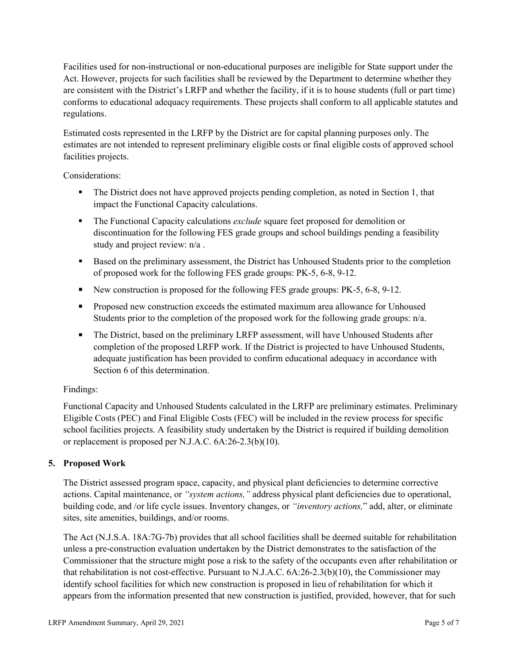Facilities used for non-instructional or non-educational purposes are ineligible for State support under the Act. However, projects for such facilities shall be reviewed by the Department to determine whether they are consistent with the District's LRFP and whether the facility, if it is to house students (full or part time) conforms to educational adequacy requirements. These projects shall conform to all applicable statutes and regulations.

Estimated costs represented in the LRFP by the District are for capital planning purposes only. The estimates are not intended to represent preliminary eligible costs or final eligible costs of approved school facilities projects.

Considerations:

- The District does not have approved projects pending completion, as noted in Section 1, that impact the Functional Capacity calculations.
- **The Functional Capacity calculations** *exclude* square feet proposed for demolition or discontinuation for the following FES grade groups and school buildings pending a feasibility study and project review: n/a .
- Based on the preliminary assessment, the District has Unhoused Students prior to the completion of proposed work for the following FES grade groups: PK-5, 6-8, 9-12.
- New construction is proposed for the following FES grade groups: PK-5, 6-8, 9-12.
- Proposed new construction exceeds the estimated maximum area allowance for Unhoused Students prior to the completion of the proposed work for the following grade groups: n/a.
- The District, based on the preliminary LRFP assessment, will have Unhoused Students after completion of the proposed LRFP work. If the District is projected to have Unhoused Students, adequate justification has been provided to confirm educational adequacy in accordance with Section 6 of this determination.

## Findings:

Functional Capacity and Unhoused Students calculated in the LRFP are preliminary estimates. Preliminary Eligible Costs (PEC) and Final Eligible Costs (FEC) will be included in the review process for specific school facilities projects. A feasibility study undertaken by the District is required if building demolition or replacement is proposed per N.J.A.C. 6A:26-2.3(b)(10).

## **5. Proposed Work**

The District assessed program space, capacity, and physical plant deficiencies to determine corrective actions. Capital maintenance, or *"system actions,"* address physical plant deficiencies due to operational, building code, and /or life cycle issues. Inventory changes, or *"inventory actions,*" add, alter, or eliminate sites, site amenities, buildings, and/or rooms.

The Act (N.J.S.A. 18A:7G-7b) provides that all school facilities shall be deemed suitable for rehabilitation unless a pre-construction evaluation undertaken by the District demonstrates to the satisfaction of the Commissioner that the structure might pose a risk to the safety of the occupants even after rehabilitation or that rehabilitation is not cost-effective. Pursuant to N.J.A.C. 6A:26-2.3(b)(10), the Commissioner may identify school facilities for which new construction is proposed in lieu of rehabilitation for which it appears from the information presented that new construction is justified, provided, however, that for such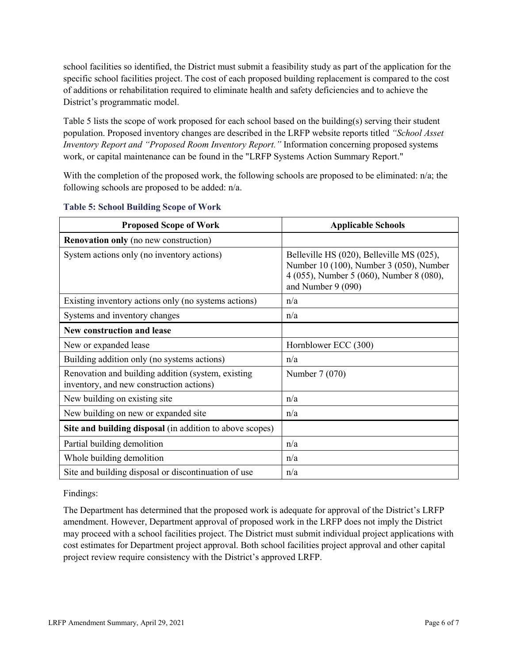school facilities so identified, the District must submit a feasibility study as part of the application for the specific school facilities project. The cost of each proposed building replacement is compared to the cost of additions or rehabilitation required to eliminate health and safety deficiencies and to achieve the District's programmatic model.

Table 5 lists the scope of work proposed for each school based on the building(s) serving their student population. Proposed inventory changes are described in the LRFP website reports titled *"School Asset Inventory Report and "Proposed Room Inventory Report."* Information concerning proposed systems work, or capital maintenance can be found in the "LRFP Systems Action Summary Report."

With the completion of the proposed work, the following schools are proposed to be eliminated:  $n/a$ ; the following schools are proposed to be added: n/a.

| <b>Proposed Scope of Work</b>                                                                  | <b>Applicable Schools</b>                                                                                                                              |
|------------------------------------------------------------------------------------------------|--------------------------------------------------------------------------------------------------------------------------------------------------------|
| <b>Renovation only</b> (no new construction)                                                   |                                                                                                                                                        |
| System actions only (no inventory actions)                                                     | Belleville HS (020), Belleville MS (025),<br>Number 10 (100), Number 3 (050), Number<br>4 (055), Number 5 (060), Number 8 (080),<br>and Number 9 (090) |
| Existing inventory actions only (no systems actions)                                           | n/a                                                                                                                                                    |
| Systems and inventory changes                                                                  | n/a                                                                                                                                                    |
| New construction and lease                                                                     |                                                                                                                                                        |
| New or expanded lease                                                                          | Hornblower ECC (300)                                                                                                                                   |
| Building addition only (no systems actions)                                                    | n/a                                                                                                                                                    |
| Renovation and building addition (system, existing<br>inventory, and new construction actions) | Number 7 (070)                                                                                                                                         |
| New building on existing site                                                                  | n/a                                                                                                                                                    |
| New building on new or expanded site                                                           | n/a                                                                                                                                                    |
| Site and building disposal (in addition to above scopes)                                       |                                                                                                                                                        |
| Partial building demolition                                                                    | n/a                                                                                                                                                    |
| Whole building demolition                                                                      | n/a                                                                                                                                                    |
| Site and building disposal or discontinuation of use                                           | n/a                                                                                                                                                    |

#### **Table 5: School Building Scope of Work**

Findings:

The Department has determined that the proposed work is adequate for approval of the District's LRFP amendment. However, Department approval of proposed work in the LRFP does not imply the District may proceed with a school facilities project. The District must submit individual project applications with cost estimates for Department project approval. Both school facilities project approval and other capital project review require consistency with the District's approved LRFP.